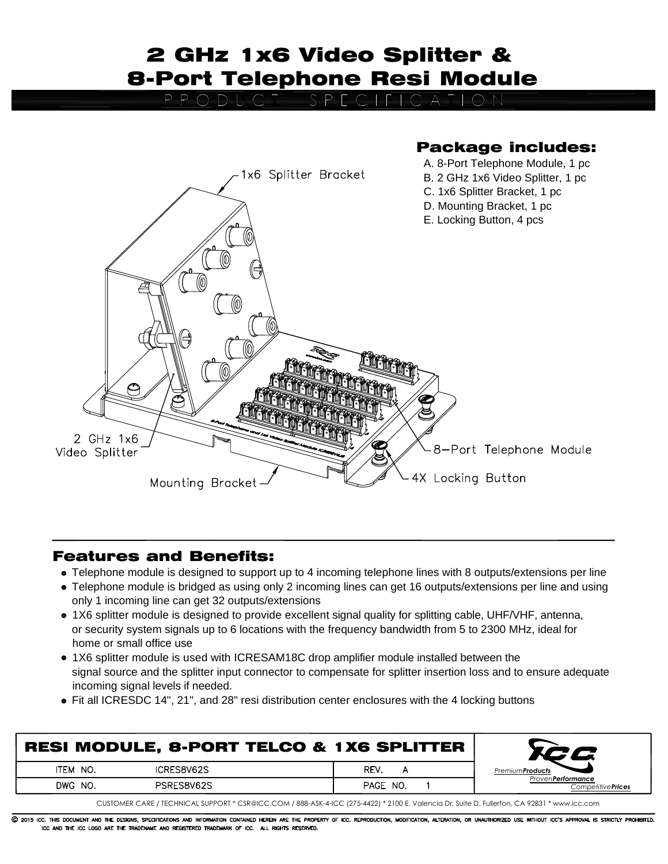## 2 GHz 1x6 Video Splitter & 8-Port Telephone Resi Module

O=B=E=C



## Features and Benefits:

- Telephone module is designed to support up to 4 incoming telephone lines with 8 outputs/extensions per line
- Telephone module is bridged as using only 2 incoming lines can get 16 outputs/extensions per line and using only 1 incoming line can get 32 outputs/extensions
- 1X6 splitter module is designed to provide excellent signal quality for splitting cable, UHF/VHF, antenna, or security system signals up to 6 locations with the frequency bandwidth from 5 to 2300 MHz, ideal for home or small office use
- 1X6 splitter module is used with ICRESAM18C drop amplifier module installed between the signal source and the splitter input connector to compensate for splitter insertion loss and to ensure adequate incoming signal levels if needed.
- Fit all ICRESDC 14", 21", and 28" resi distribution center enclosures with the 4 locking buttons

| <b>RESI MODULE, 8-PORT TELCO &amp; 1X6 SPLITTER</b> |            |          |                                                        |
|-----------------------------------------------------|------------|----------|--------------------------------------------------------|
| ITEM NO.                                            | ICRES8V62S | REV.     | Premium <b>Products</b>                                |
| DWG NO.                                             | PSRES8V62S | PAGE NO. | Proven <b>Performance</b><br>Competitive <b>Prices</b> |
|                                                     |            |          |                                                        |

CUSTOMER CARE / TECHNICAL SUPPORT \* CSR@ICC.COM / 888-ASK-4-ICC (275-4422) \* 2100 E. Valencia Dr, Suite D, Fullerton, CA 92831 \* www.icc.com

C 2015 ICC. THIS DOCUMENT AND THE DESIGNS, SPECIFICATIONS AND INFORMATION CONTAINED HEREIN ARE THE PROPERTY OF ICC. REPRODUCTION, MODIFICATION, ALTERATION, OR UNAUTHORIZED USE WITHOUT ICC'S APPROVAL IS STRICTLY PROHIBITED. ICC AND THE ICC LOGO ARE THE TRADENAME AND REGISTERED TRADEMARK OF ICC. ALL RIGHTS RESERVED.